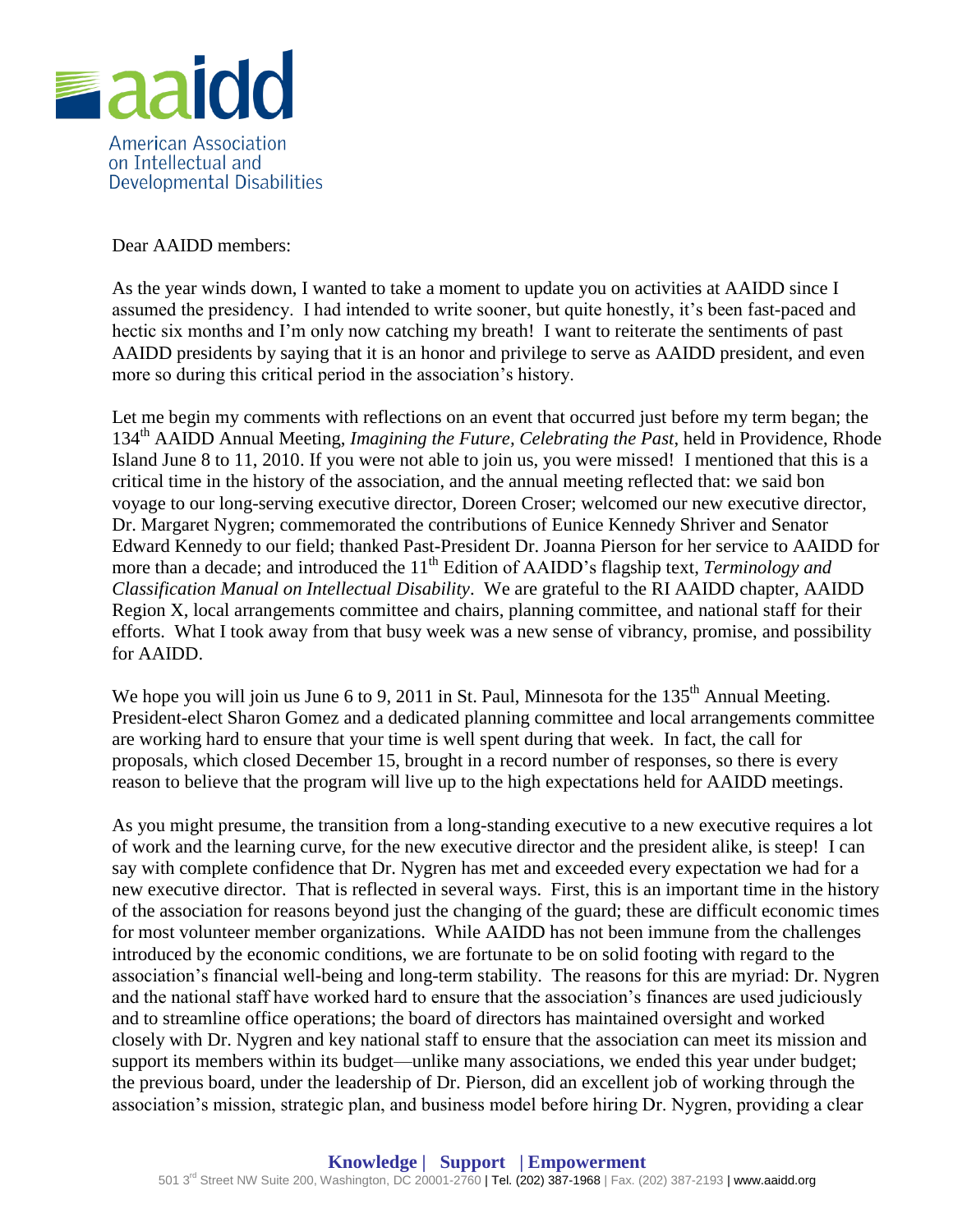

Dear AAIDD members:

As the year winds down, I wanted to take a moment to update you on activities at AAIDD since I assumed the presidency. I had intended to write sooner, but quite honestly, it's been fast-paced and hectic six months and I'm only now catching my breath! I want to reiterate the sentiments of past AAIDD presidents by saying that it is an honor and privilege to serve as AAIDD president, and even more so during this critical period in the association's history.

Let me begin my comments with reflections on an event that occurred just before my term began; the 134th AAIDD Annual Meeting, *Imagining the Future, Celebrating the Past*, held in Providence, Rhode Island June 8 to 11, 2010. If you were not able to join us, you were missed! I mentioned that this is a critical time in the history of the association, and the annual meeting reflected that: we said bon voyage to our long-serving executive director, Doreen Croser; welcomed our new executive director, Dr. Margaret Nygren; commemorated the contributions of Eunice Kennedy Shriver and Senator Edward Kennedy to our field; thanked Past-President Dr. Joanna Pierson for her service to AAIDD for more than a decade; and introduced the 11<sup>th</sup> Edition of AAIDD's flagship text, *Terminology and Classification Manual on Intellectual Disability*. We are grateful to the RI AAIDD chapter, AAIDD Region X, local arrangements committee and chairs, planning committee, and national staff for their efforts. What I took away from that busy week was a new sense of vibrancy, promise, and possibility for AAIDD.

We hope you will join us June 6 to 9, 2011 in St. Paul, Minnesota for the 135<sup>th</sup> Annual Meeting. President-elect Sharon Gomez and a dedicated planning committee and local arrangements committee are working hard to ensure that your time is well spent during that week. In fact, the call for proposals, which closed December 15, brought in a record number of responses, so there is every reason to believe that the program will live up to the high expectations held for AAIDD meetings.

As you might presume, the transition from a long-standing executive to a new executive requires a lot of work and the learning curve, for the new executive director and the president alike, is steep! I can say with complete confidence that Dr. Nygren has met and exceeded every expectation we had for a new executive director. That is reflected in several ways. First, this is an important time in the history of the association for reasons beyond just the changing of the guard; these are difficult economic times for most volunteer member organizations. While AAIDD has not been immune from the challenges introduced by the economic conditions, we are fortunate to be on solid footing with regard to the association's financial well-being and long-term stability. The reasons for this are myriad: Dr. Nygren and the national staff have worked hard to ensure that the association's finances are used judiciously and to streamline office operations; the board of directors has maintained oversight and worked closely with Dr. Nygren and key national staff to ensure that the association can meet its mission and support its members within its budget—unlike many associations, we ended this year under budget; the previous board, under the leadership of Dr. Pierson, did an excellent job of working through the association's mission, strategic plan, and business model before hiring Dr. Nygren, providing a clear